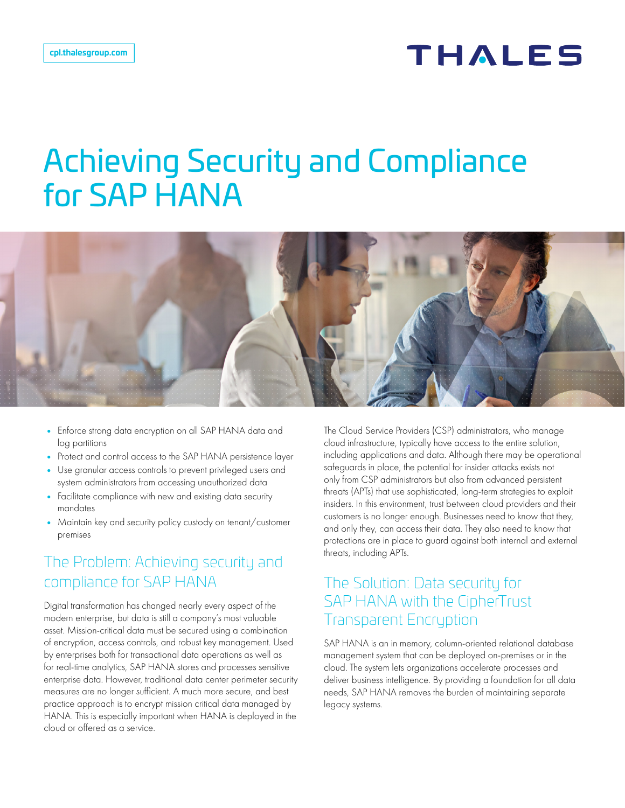# **THALES**

# Achieving Security and Compliance for SAP HANA



- Enforce strong data encryption on all SAP HANA data and log partitions
- Protect and control access to the SAP HANA persistence layer
- Use granular access controls to prevent privileged users and system administrators from accessing unauthorized data
- Facilitate compliance with new and existing data security mandates
- Maintain key and security policy custody on tenant/customer premises

## The Problem: Achieving security and compliance for SAP HANA

Digital transformation has changed nearly every aspect of the modern enterprise, but data is still a company's most valuable asset. Mission-critical data must be secured using a combination of encryption, access controls, and robust key management. Used by enterprises both for transactional data operations as well as for real-time analytics, SAP HANA stores and processes sensitive enterprise data. However, traditional data center perimeter security measures are no longer sufficient. A much more secure, and best practice approach is to encrypt mission critical data managed by HANA. This is especially important when HANA is deployed in the cloud or offered as a service.

The Cloud Service Providers (CSP) administrators, who manage cloud infrastructure, typically have access to the entire solution, including applications and data. Although there may be operational safeguards in place, the potential for insider attacks exists not only from CSP administrators but also from advanced persistent threats (APTs) that use sophisticated, long-term strategies to exploit insiders. In this environment, trust between cloud providers and their customers is no longer enough. Businesses need to know that they, and only they, can access their data. They also need to know that protections are in place to guard against both internal and external threats, including APTs.

#### The Solution: Data security for SAP HANA with the CipherTrust Transparent Encryption

SAP HANA is an in memory, column-oriented relational database management system that can be deployed on-premises or in the cloud. The system lets organizations accelerate processes and deliver business intelligence. By providing a foundation for all data needs, SAP HANA removes the burden of maintaining separate legacy systems.